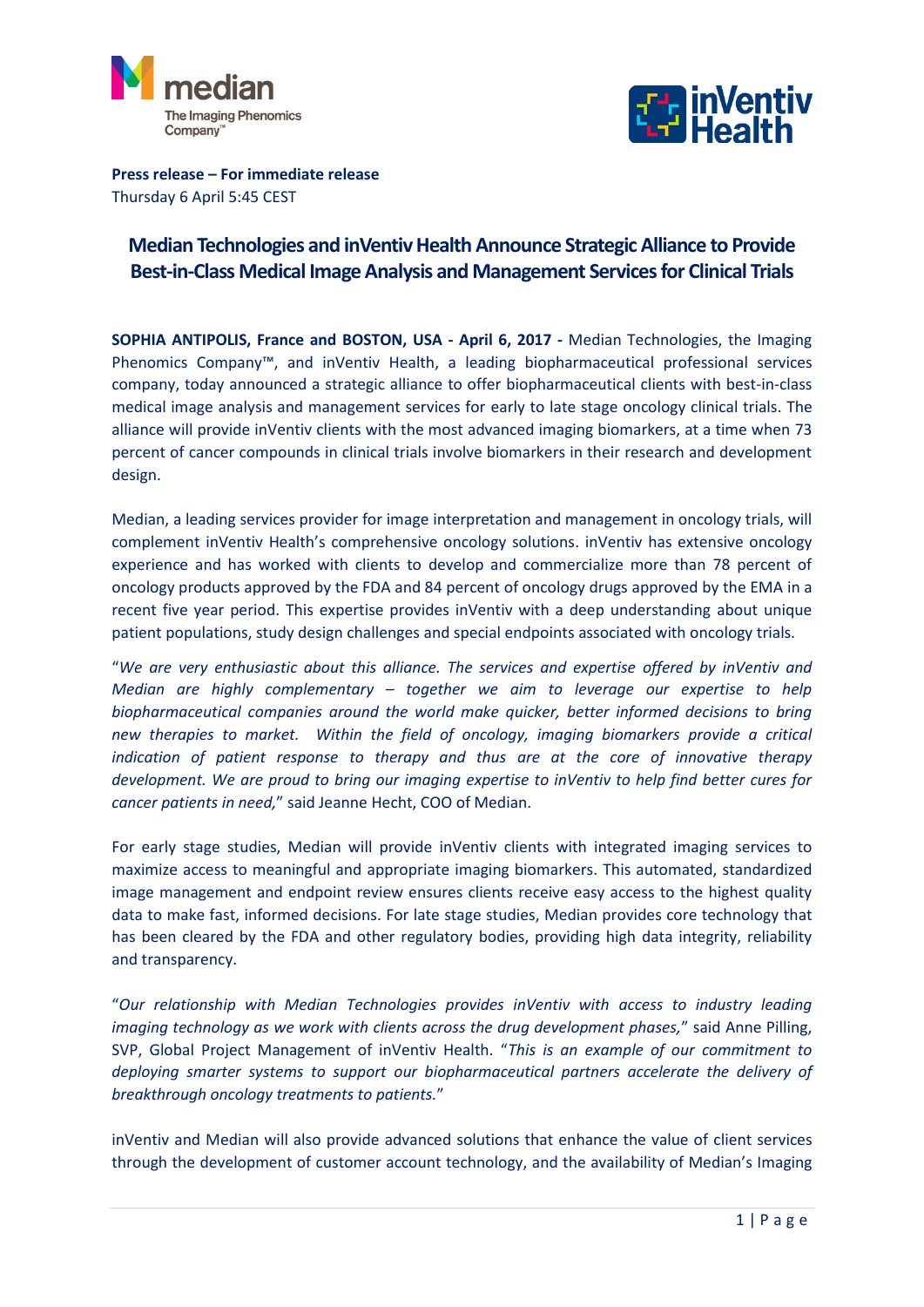



**Press release – For immediate release** Thursday 6 April 5:45 CEST

## **Median Technologies and inVentiv Health Announce Strategic Alliance to Provide Best-in-Class Medical Image Analysis and Management Services for Clinical Trials**

**SOPHIA ANTIPOLIS, France and BOSTON, USA - April 6, 2017 -** Median Technologies, the Imaging Phenomics Company™, and inVentiv Health, a leading biopharmaceutical professional services company, today announced a strategic alliance to offer biopharmaceutical clients with best-in-class medical image analysis and management services for early to late stage oncology clinical trials. The alliance will provide inVentiv clients with the most advanced imaging biomarkers, at a time when 73 percent of cancer compounds in clinical trials involve biomarkers in their research and development design.

Median, a leading services provider for image interpretation and management in oncology trials, will complement inVentiv Health's comprehensive oncology solutions. inVentiv has extensive oncology experience and has worked with clients to develop and commercialize more than 78 percent of oncology products approved by the FDA and 84 percent of oncology drugs approved by the EMA in a recent five year period. This expertise provides inVentiv with a deep understanding about unique patient populations, study design challenges and special endpoints associated with oncology trials.

"*We are very enthusiastic about this alliance. The services and expertise offered by inVentiv and Median are highly complementary – together we aim to leverage our expertise to help biopharmaceutical companies around the world make quicker, better informed decisions to bring new therapies to market. Within the field of oncology, imaging biomarkers provide a critical indication of patient response to therapy and thus are at the core of innovative therapy development. We are proud to bring our imaging expertise to inVentiv to help find better cures for cancer patients in need,*" said Jeanne Hecht, COO of Median.

For early stage studies, Median will provide inVentiv clients with integrated imaging services to maximize access to meaningful and appropriate imaging biomarkers. This automated, standardized image management and endpoint review ensures clients receive easy access to the highest quality data to make fast, informed decisions. For late stage studies, Median provides core technology that has been cleared by the FDA and other regulatory bodies, providing high data integrity, reliability and transparency.

"*Our relationship with Median Technologies provides inVentiv with access to industry leading imaging technology as we work with clients across the drug development phases,*" said Anne Pilling, SVP, Global Project Management of inVentiv Health. "*This is an example of our commitment to deploying smarter systems to support our biopharmaceutical partners accelerate the delivery of breakthrough oncology treatments to patients.*"

inVentiv and Median will also provide advanced solutions that enhance the value of client services through the development of customer account technology, and the availability of Median's Imaging